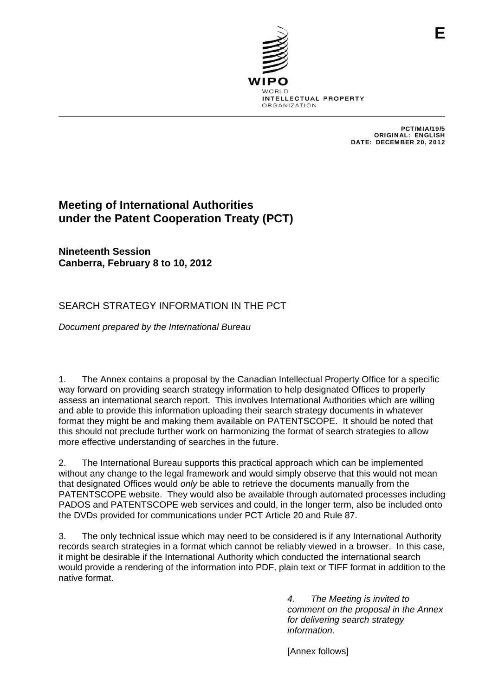

PCT/MIA/19/5 ORIGINAL: ENGLISH DATE: DECEMBER 20, 2012

**E**

# **Meeting of International Authorities under the Patent Cooperation Treaty (PCT)**

**Nineteenth Session Canberra, February 8 to 10, 2012** 

## SEARCH STRATEGY INFORMATION IN THE PCT

*Document prepared by the International Bureau* 

1. The Annex contains a proposal by the Canadian Intellectual Property Office for a specific way forward on providing search strategy information to help designated Offices to properly assess an international search report. This involves International Authorities which are willing and able to provide this information uploading their search strategy documents in whatever format they might be and making them available on PATENTSCOPE. It should be noted that this should not preclude further work on harmonizing the format of search strategies to allow more effective understanding of searches in the future.

2. The International Bureau supports this practical approach which can be implemented without any change to the legal framework and would simply observe that this would not mean that designated Offices would *only* be able to retrieve the documents manually from the PATENTSCOPE website. They would also be available through automated processes including PADOS and PATENTSCOPE web services and could, in the longer term, also be included onto the DVDs provided for communications under PCT Article 20 and Rule 87.

3. The only technical issue which may need to be considered is if any International Authority records search strategies in a format which cannot be reliably viewed in a browser. In this case, it might be desirable if the International Authority which conducted the international search would provide a rendering of the information into PDF, plain text or TIFF format in addition to the native format.

> *4. The Meeting is invited to comment on the proposal in the Annex for delivering search strategy information.*

[Annex follows]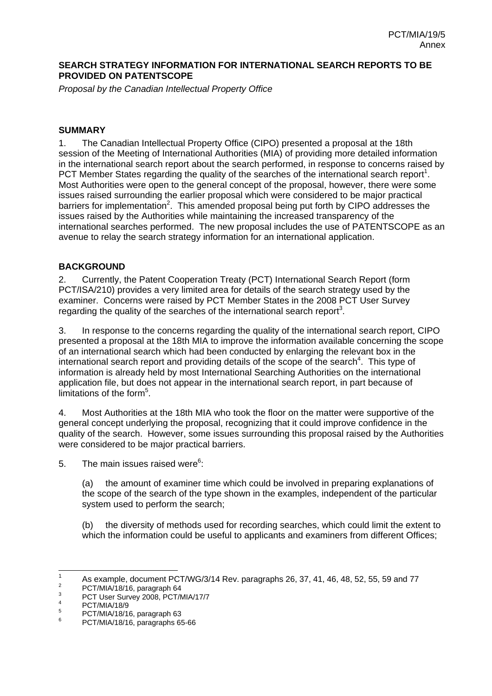#### **SEARCH STRATEGY INFORMATION FOR INTERNATIONAL SEARCH REPORTS TO BE PROVIDED ON PATENTSCOPE**

*Proposal by the Canadian Intellectual Property Office* 

#### **SUMMARY**

1. The Canadian Intellectual Property Office (CIPO) presented a proposal at the 18th session of the Meeting of International Authorities (MIA) of providing more detailed information in the international search report about the search performed, in response to concerns raised by PCT Member States regarding the quality of the searches of the international search report<sup>1</sup>. Most Authorities were open to the general concept of the proposal, however, there were some issues raised surrounding the earlier proposal which were considered to be major practical barriers for implementation<sup>2</sup>. This amended proposal being put forth by CIPO addresses the issues raised by the Authorities while maintaining the increased transparency of the international searches performed. The new proposal includes the use of PATENTSCOPE as an avenue to relay the search strategy information for an international application.

#### **BACKGROUND**

2. Currently, the Patent Cooperation Treaty (PCT) International Search Report (form PCT/ISA/210) provides a very limited area for details of the search strategy used by the examiner. Concerns were raised by PCT Member States in the 2008 PCT User Survey regarding the quality of the searches of the international search report<sup>3</sup>.

3. In response to the concerns regarding the quality of the international search report, CIPO presented a proposal at the 18th MIA to improve the information available concerning the scope of an international search which had been conducted by enlarging the relevant box in the international search report and providing details of the scope of the search<sup>4</sup>. This type of information is already held by most International Searching Authorities on the international application file, but does not appear in the international search report, in part because of limitations of the form<sup>5</sup>.

4. Most Authorities at the 18th MIA who took the floor on the matter were supportive of the general concept underlying the proposal, recognizing that it could improve confidence in the quality of the search. However, some issues surrounding this proposal raised by the Authorities were considered to be major practical barriers.

5. The main issues raised were $6$ :

(a) the amount of examiner time which could be involved in preparing explanations of the scope of the search of the type shown in the examples, independent of the particular system used to perform the search;

(b) the diversity of methods used for recording searches, which could limit the extent to which the information could be useful to applicants and examiners from different Offices;

 $\frac{1}{1}$ <sup>1</sup> As example, document PCT/WG/3/14 Rev. paragraphs 26, 37, 41, 46, 48, 52, 55, 59 and 77

PCT/MIA/18/16, paragraph 64

<sup>3</sup> PCT User Survey 2008, PCT/MIA/17/7

<sup>4</sup> PCT/MIA/18/9 5

PCT/MIA/18/16, paragraph 63 6

PCT/MIA/18/16, paragraphs 65-66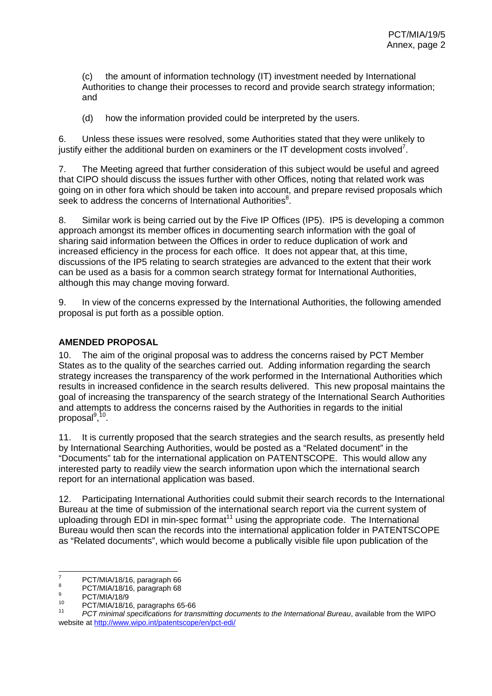(c) the amount of information technology (IT) investment needed by International Authorities to change their processes to record and provide search strategy information; and

(d) how the information provided could be interpreted by the users.

6. Unless these issues were resolved, some Authorities stated that they were unlikely to justify either the additional burden on examiners or the IT development costs involved<sup>7</sup>.

7. The Meeting agreed that further consideration of this subject would be useful and agreed that CIPO should discuss the issues further with other Offices, noting that related work was going on in other fora which should be taken into account, and prepare revised proposals which seek to address the concerns of International Authorities<sup>8</sup>.

8. Similar work is being carried out by the Five IP Offices (IP5). IP5 is developing a common approach amongst its member offices in documenting search information with the goal of sharing said information between the Offices in order to reduce duplication of work and increased efficiency in the process for each office. It does not appear that, at this time, discussions of the IP5 relating to search strategies are advanced to the extent that their work can be used as a basis for a common search strategy format for International Authorities, although this may change moving forward.

9. In view of the concerns expressed by the International Authorities, the following amended proposal is put forth as a possible option.

#### **AMENDED PROPOSAL**

10. The aim of the original proposal was to address the concerns raised by PCT Member States as to the quality of the searches carried out. Adding information regarding the search strategy increases the transparency of the work performed in the International Authorities which results in increased confidence in the search results delivered. This new proposal maintains the goal of increasing the transparency of the search strategy of the International Search Authorities and attempts to address the concerns raised by the Authorities in regards to the initial proposal<sup>9,10</sup>.

11. It is currently proposed that the search strategies and the search results, as presently held by International Searching Authorities, would be posted as a "Related document" in the "Documents" tab for the international application on PATENTSCOPE. This would allow any interested party to readily view the search information upon which the international search report for an international application was based.

12. Participating International Authorities could submit their search records to the International Bureau at the time of submission of the international search report via the current system of uploading through EDI in min-spec format<sup>11</sup> using the appropriate code. The International Bureau would then scan the records into the international application folder in PATENTSCOPE as "Related documents", which would become a publically visible file upon publication of the

<sup>-&</sup>lt;br>7 PCT/MIA/18/16, paragraph 66 8

PCT/MIA/18/16, paragraph 68 9

 $^{9}$  PCT/MIA/18/9

<sup>&</sup>lt;sup>10</sup> PCT/MIA/18/16, paragraphs 65-66<br><sup>11</sup> PCT minimal specifications for transmitting documents to the International Bureau, available from the WIPO website at http://www.wipo.int/patentscope/en/pct-edi/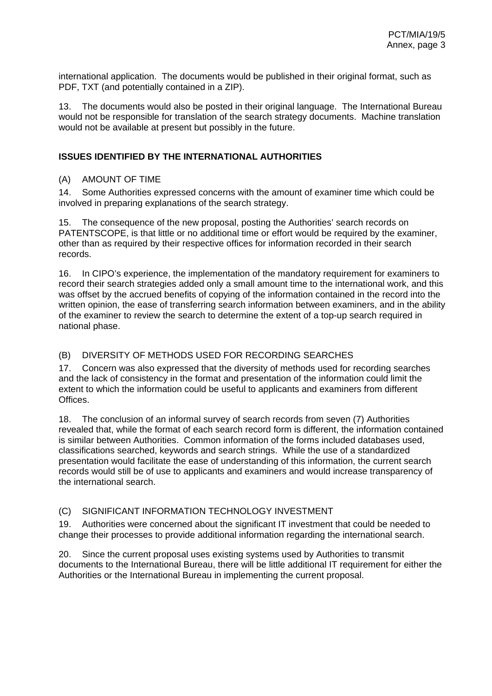international application. The documents would be published in their original format, such as PDF, TXT (and potentially contained in a ZIP).

13. The documents would also be posted in their original language. The International Bureau would not be responsible for translation of the search strategy documents. Machine translation would not be available at present but possibly in the future.

#### **ISSUES IDENTIFIED BY THE INTERNATIONAL AUTHORITIES**

### (A) AMOUNT OF TIME

14. Some Authorities expressed concerns with the amount of examiner time which could be involved in preparing explanations of the search strategy.

15. The consequence of the new proposal, posting the Authorities' search records on PATENTSCOPE, is that little or no additional time or effort would be required by the examiner, other than as required by their respective offices for information recorded in their search records.

16. In CIPO's experience, the implementation of the mandatory requirement for examiners to record their search strategies added only a small amount time to the international work, and this was offset by the accrued benefits of copying of the information contained in the record into the written opinion, the ease of transferring search information between examiners, and in the ability of the examiner to review the search to determine the extent of a top-up search required in national phase.

## (B) DIVERSITY OF METHODS USED FOR RECORDING SEARCHES

17. Concern was also expressed that the diversity of methods used for recording searches and the lack of consistency in the format and presentation of the information could limit the extent to which the information could be useful to applicants and examiners from different Offices.

18. The conclusion of an informal survey of search records from seven (7) Authorities revealed that, while the format of each search record form is different, the information contained is similar between Authorities. Common information of the forms included databases used, classifications searched, keywords and search strings. While the use of a standardized presentation would facilitate the ease of understanding of this information, the current search records would still be of use to applicants and examiners and would increase transparency of the international search.

## (C) SIGNIFICANT INFORMATION TECHNOLOGY INVESTMENT

19. Authorities were concerned about the significant IT investment that could be needed to change their processes to provide additional information regarding the international search.

20. Since the current proposal uses existing systems used by Authorities to transmit documents to the International Bureau, there will be little additional IT requirement for either the Authorities or the International Bureau in implementing the current proposal.